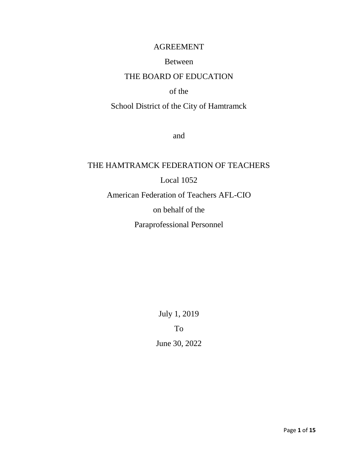# AGREEMENT

# Between

# THE BOARD OF EDUCATION

# of the

# School District of the City of Hamtramck

and

# THE HAMTRAMCK FEDERATION OF TEACHERS Local 1052 American Federation of Teachers AFL-CIO on behalf of the Paraprofessional Personnel

July 1, 2019

To

June 30, 2022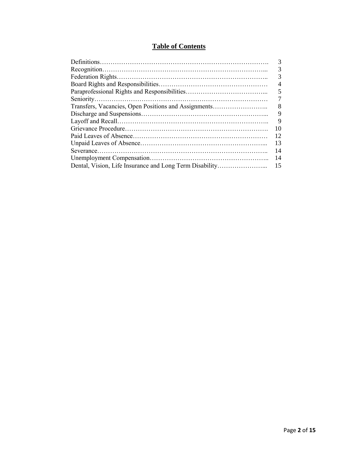# **Table of Contents**

|                                                      | 3              |
|------------------------------------------------------|----------------|
|                                                      | 3              |
|                                                      | 3              |
|                                                      | $\overline{4}$ |
|                                                      | 5              |
|                                                      |                |
| Transfers, Vacancies, Open Positions and Assignments | 8              |
|                                                      | 9              |
|                                                      | 9              |
|                                                      | 10             |
|                                                      | 12             |
|                                                      | 13             |
|                                                      | 14             |
|                                                      | 14             |
|                                                      | 15             |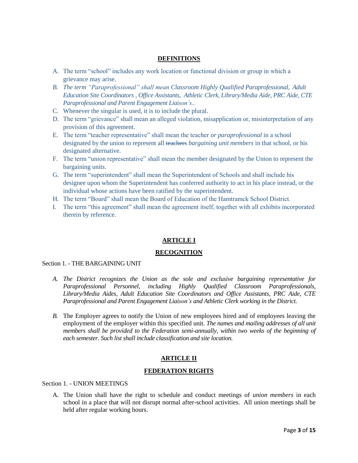#### **DEFINITIONS**

- A. The term "school" includes any work location or functional division or group in which a grievance may arise.
- *B. The term "Paraprofessional" shall mean Classroom Highly Qualified Paraprofessional, Adult Education Site Coordinators , Office Assistants, Athletic Clerk, Library/Media Aide, PRC Aide, CTE Paraprofessional and Parent Engagement Liaison's..*
- C. Whenever the singular is used, it is to include the plural.
- D. The term "grievance" shall mean an alleged violation, misapplication or, misinterpretation of any provision of this agreement.
- E. The term "teacher representative" shall mean the teacher *or paraprofessional* in a school designated by the union to represent all teachers *bargaining unit members* in that school, or his designated alternative.
- F. The term "union representative" shall mean the member designated by the Union to represent the bargaining unit*s*.
- G. The term "superintendent" shall mean the Superintendent of Schools and shall include his designee upon whom the Superintendent has conferred authority to act in his place instead, or the individual whose actions have been ratified by the superintendent.
- H. The term "Board" shall mean the Board of Education of the Hamtramck School District.
- I. The term "this agreement" shall mean the agreement itself, together with all exhibits incorporated therein by reference.

#### **ARTICLE I**

#### **RECOGNITION**

#### Section 1. - THE BARGAINING UNIT

- *A. The District recognizes the Union as the sole and exclusive bargaining representative for Paraprofessional Personnel, including Highly Qualified Classroom Paraprofessionals, Library/Media Aides, Adult Education Site Coordinators and Office Assistants, PRC Aide, CTE Paraprofessional and Parent Engagement Liaison's and Athletic Clerk working in the District.*
- *B.* The Employer agrees to notify the Union of new employees hired and of employees leaving the employment of the employer within this specified unit. *The names and mailing addresses of all unit members shall be provided to the Federation semi-annually, within two weeks of the beginning of each semester. Such list shall include classification and site location.*

#### **ARTICLE II**

#### **FEDERATION RIGHTS**

Section 1. - UNION MEETINGS

A. The Union shall have the right to schedule and conduct meetings of *union members* in each school in a place that will not disrupt normal after-school activities. All union meetings shall be held after regular working hours.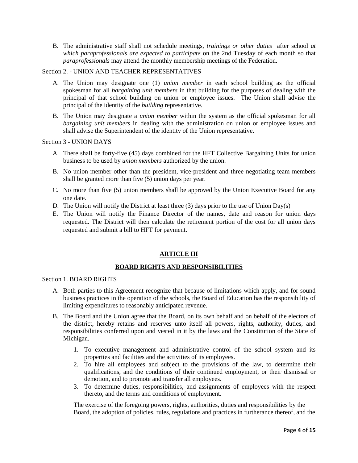B. The administrative staff shall not schedule meetings, *trainings or other duties* after school *at which paraprofessionals are expected to participate* on the 2nd Tuesday of each month so that *paraprofessionals* may attend the monthly membership meetings of the Federation.

#### Section 2. - UNION AND TEACHER REPRESENTATIVES

- A. The Union may designate one (1) *union member* in each school building as the official spokesman for all *bargaining unit members* in that building for the purposes of dealing with the principal of that school building on union or employee issues. The Union shall advise the principal of the identity of the *building* representative.
- B. The Union may designate a *union member* within the system as the official spokesman for all *bargaining unit members* in dealing with the administration on union or employee issues and shall advise the Superintendent of the identity of the Union representative.

#### Section 3 - UNION DAYS

- A. There shall be forty-five (45) days combined for the HFT Collective Bargaining Units for union business to be used by *union members* authorized by the union.
- B. No union member other than the president, vice-president and three negotiating team members shall be granted more than five (5) union days per year.
- C. No more than five (5) union members shall be approved by the Union Executive Board for any one date.
- D. The Union will notify the District at least three (3) days prior to the use of Union Day(s)
- E. The Union will notify the Finance Director of the names, date and reason for union days requested. The District will then calculate the retirement portion of the cost for all union days requested and submit a bill to HFT for payment.

# **ARTICLE III**

# **BOARD RIGHTS AND RESPONSIBILITIES**

#### Section 1. BOARD RIGHTS

- A. Both parties to this Agreement recognize that because of limitations which apply, and for sound business practices in the operation of the schools, the Board of Education has the responsibility of limiting expenditures to reasonably anticipated revenue.
- B. The Board and the Union agree that the Board, on its own behalf and on behalf of the electors of the district, hereby retains and reserves unto itself all powers, rights, authority, duties, and responsibilities conferred upon and vested in it by the laws and the Constitution of the State of Michigan.
	- 1. To executive management and administrative control of the school system and its properties and facilities and the activities of its employees.
	- 2. To hire all employees and subject to the provisions of the law, to determine their qualifications, and the conditions of their continued employment, or their dismissal or demotion, and to promote and transfer all employees.
	- 3. To determine duties, responsibilities, and assignments of employees with the respect thereto, and the terms and conditions of employment.

The exercise of the foregoing powers, rights, authorities, duties and responsibilities by the Board, the adoption of policies, rules, regulations and practices in furtherance thereof, and the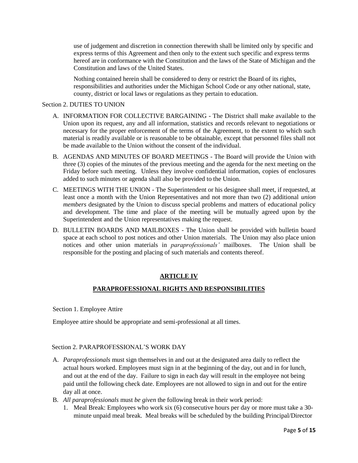use of judgement and discretion in connection therewith shall be limited only by specific and express terms of this Agreement and then only to the extent such specific and express terms hereof are in conformance with the Constitution and the laws of the State of Michigan and the Constitution and laws of the United States.

Nothing contained herein shall be considered to deny or restrict the Board of its rights, responsibilities and authorities under the Michigan School Code or any other national, state, county, district or local laws or regulations as they pertain to education.

#### Section 2. DUTIES TO UNION

- A. INFORMATION FOR COLLECTIVE BARGAINING The District shall make available to the Union upon its request, any and all information, statistics and records relevant to negotiations or necessary for the proper enforcement of the terms of the Agreement, to the extent to which such material is readily available or is reasonable to be obtainable, except that personnel files shall not be made available to the Union without the consent of the individual.
- B. AGENDAS AND MINUTES OF BOARD MEETINGS The Board will provide the Union with three (3) copies of the minutes of the previous meeting and the agenda for the next meeting on the Friday before such meeting. Unless they involve confidential information, copies of enclosures added to such minutes or agenda shall also be provided to the Union.
- C. MEETINGS WITH THE UNION The Superintendent or his designee shall meet, if requested, at least once a month with the Union Representatives and not more than two (2) additional *union members* designated by the Union to discuss special problems and matters of educational policy and development. The time and place of the meeting will be mutually agreed upon by the Superintendent and the Union representatives making the request.
- D. BULLETIN BOARDS AND MAILBOXES The Union shall be provided with bulletin board space at each school to post notices and other Union materials. The Union may also place union notices and other union materials in *paraprofessionals'* mailboxes. The Union shall be responsible for the posting and placing of such materials and contents thereof.

#### **ARTICLE IV**

#### **PARAPROFESSIONAL RIGHTS AND RESPONSIBILITIES**

Section 1. Employee Attire

Employee attire should be appropriate and semi-professional at all times.

#### Section 2. PARAPROFESSIONAL'S WORK DAY

- A. *Paraprofessionals* must sign themselves in and out at the designated area daily to reflect the actual hours worked. Employees must sign in at the beginning of the day, out and in for lunch, and out at the end of the day. Failure to sign in each day will result in the employee not being paid until the following check date. Employees are not allowed to sign in and out for the entire day all at once.
- B. *All paraprofessionals* must *be given* the following break in their work period:
	- 1. Meal Break: Employees who work six (6) consecutive hours per day or more must take a 30 minute unpaid meal break. Meal breaks will be scheduled by the building Principal/Director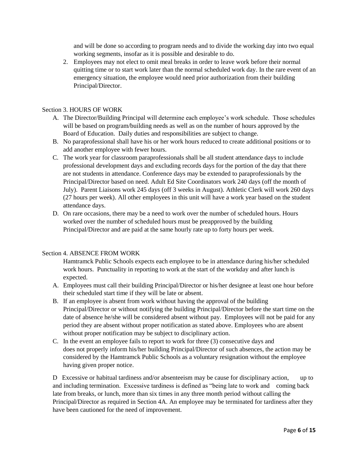and will be done so according to program needs and to divide the working day into two equal working segments, insofar as it is possible and desirable to do.

2. Employees may not elect to omit meal breaks in order to leave work before their normal quitting time or to start work later than the normal scheduled work day. In the rare event of an emergency situation, the employee would need prior authorization from their building Principal/Director.

#### Section 3. HOURS OF WORK

- A. The Director/Building Principal will determine each employee's work schedule. Those schedules will be based on program/building needs as well as on the number of hours approved by the Board of Education. Daily duties and responsibilities are subject to change.
- B. No paraprofessional shall have his or her work hours reduced to create additional positions or to add another employee with fewer hours.
- C. The work year for classroom paraprofessionals shall be all student attendance days to include professional development days and excluding records days for the portion of the day that there are not students in attendance. Conference days may be extended to paraprofessionals by the Principal/Director based on need. Adult Ed Site Coordinators work 240 days (off the month of July). Parent Liaisons work 245 days (off 3 weeks in August). Athletic Clerk will work 260 days (27 hours per week). All other employees in this unit will have a work year based on the student attendance days.
- D. On rare occasions, there may be a need to work over the number of scheduled hours. Hours worked over the number of scheduled hours must be preapproved by the building Principal/Director and are paid at the same hourly rate up to forty hours per week.

#### Section 4. ABSENCE FROM WORK

Hamtramck Public Schools expects each employee to be in attendance during his/her scheduled work hours. Punctuality in reporting to work at the start of the workday and after lunch is expected.

- A. Employees must call their building Principal/Director or his/her designee at least one hour before their scheduled start time if they will be late or absent.
- B. If an employee is absent from work without having the approval of the building Principal/Director or without notifying the building Principal/Director before the start time on the date of absence he/she will be considered absent without pay. Employees will not be paid for any period they are absent without proper notification as stated above. Employees who are absent without proper notification may be subject to disciplinary action.
- C. In the event an employee fails to report to work for three (3) consecutive days and does not properly inform his/her building Principal/Director of such absences, the action may be considered by the Hamtramck Public Schools as a voluntary resignation without the employee having given proper notice.

D Excessive or habitual tardiness and/or absenteeism may be cause for disciplinary action, up to and including termination. Excessive tardiness is defined as "being late to work and coming back late from breaks, or lunch, more than six times in any three month period without calling the Principal/Director as required in Section 4A. An employee may be terminated for tardiness after they have been cautioned for the need of improvement.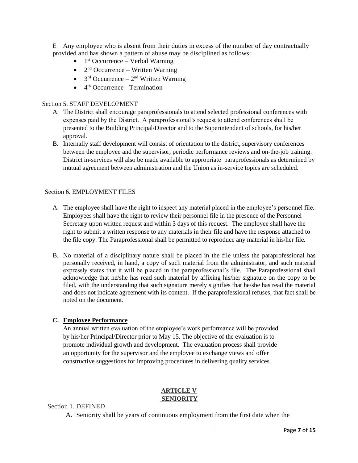E Any employee who is absent from their duties in excess of the number of day contractually provided and has shown a pattern of abuse may be disciplined as follows:

- $\bullet$  1<sup>st</sup> Occurrence Verbal Warning
- $\bullet$  2<sup>nd</sup> Occurrence Written Warning
- $3<sup>rd</sup>$  Occurrence  $2<sup>nd</sup>$  Written Warning
- $\bullet$  4<sup>th</sup> Occurrence Termination

#### Section 5. STAFF DEVELOPMENT

- A. The District shall encourage paraprofessionals to attend selected professional conferences with expenses paid by the District. A paraprofessional's request to attend conferences shall be presented to the Building Principal/Director and to the Superintendent of schools, for his/her approval.
- B. Internally staff development will consist of orientation to the district, supervisory conferences between the employee and the supervisor, periodic performance reviews and on-the-job training. District in-services will also be made available to appropriate paraprofessionals as determined by mutual agreement between administration and the Union as in-service topics are scheduled.

#### Section 6. EMPLOYMENT FILES

- A. The employee shall have the right to inspect any material placed in the employee's personnel file. Employees shall have the right to review their personnel file in the presence of the Personnel Secretary upon written request and within 3 days of this request. The employee shall have the right to submit a written response to any materials in their file and have the response attached to the file copy. The Paraprofessional shall be permitted to reproduce any material in his/her file.
- B. No material of a disciplinary nature shall be placed in the file unless the paraprofessional has personally received, in hand, a copy of such material from the administrator, and such material expressly states that it will be placed in the paraprofessional's file. The Paraprofessional shall acknowledge that he/she has read such material by affixing his/her signature on the copy to be filed, with the understanding that such signature merely signifies that he/she has read the material and does not indicate agreement with its content. If the paraprofessional refuses, that fact shall be noted on the document.

#### **C. Employee Performance**

An annual written evaluation of the employee's work performance will be provided by his/her Principal/Director prior to May 15. The objective of the evaluation is to promote individual growth and development. The evaluation process shall provide an opportunity for the supervisor and the employee to exchange views and offer constructive suggestions for improving procedures in delivering quality services.

# **ARTICLE V SENIORITY**

#### Section 1. DEFINED

A. Seniority shall be years of continuous employment from the first date when the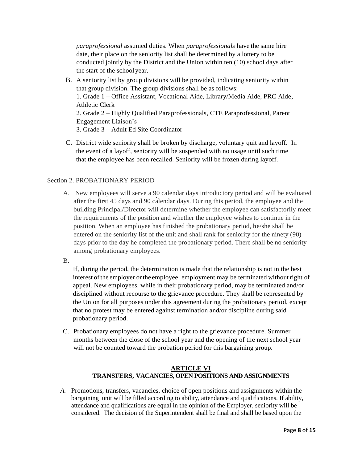*paraprofessional* assumed duties. When *paraprofessionals* have the same hire date, their place on the seniority list shall be determined by a lottery to be conducted jointly by the District and the Union within ten (10) school days after the start of the school year.

- B. A seniority list by group divisions will be provided, indicating seniority within that group division. The group divisions shall be as follows: 1. Grade 1 – Office Assistant, Vocational Aide, Library/Media Aide, PRC Aide, Athletic Clerk 2. Grade 2 – Highly Qualified Paraprofessionals, CTE Paraprofessional, Parent Engagement Liaison's 3. Grade 3 – Adult Ed Site Coordinator
- **C.** District wide seniority shall be broken by discharge, voluntary quit and layoff. In the event of a layoff, seniority will be suspended with no usage until such time that the employee has been recalled. Seniority will be frozen during layoff.

# Section 2. PROBATIONARY PERIOD

- A. New employees will serve a 90 calendar days introductory period and will be evaluated after the first 45 days and 90 calendar days. During this period, the employee and the building Principal/Director will determine whether the employee can satisfactorily meet the requirements of the position and whether the employee wishes to continue in the position. When an employee has finished the probationary period, he/she shall be entered on the seniority list of the unit and shall rank for seniority for the ninety (90) days prior to the day he completed the probationary period. There shall be no seniority among probationary employees.
- B.

If, during the period, the determination is made that the relationship is not in the best interest of the employer or the employee, employment may be terminated without right of appeal. New employees, while in their probationary period, may be terminated and/or disciplined without recourse to the grievance procedure. They shall be represented by the Union for all purposes under this agreement during the probationary period, except that no protest may be entered against termination and/or discipline during said probationary period.

C. Probationary employees do not have a right to the grievance procedure. Summer months between the close of the school year and the opening of the next school year will not be counted toward the probation period for this bargaining group.

# **ARTICLE VI TRANSFERS, VACANCIES, OPEN POSITIONS AND ASSIGNMENTS**

*A.* Promotions, transfers, vacancies, choice of open positions and assignments within the bargaining unit will be filled according to ability, attendance and qualifications. If ability, attendance and qualifications are equal in the opinion of the Employer, seniority will be considered. The decision of the Superintendent shall be final and shall be based upon the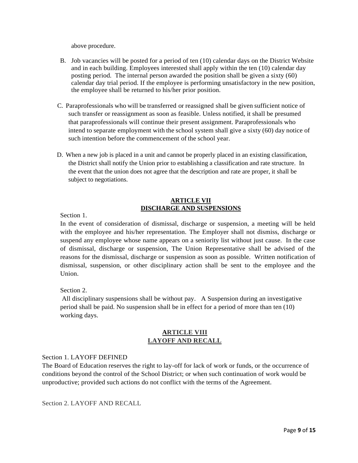above procedure.

- B. Job vacancies will be posted for a period of ten (10) calendar days on the District Website and in each building. Employees interested shall apply within the ten (10) calendar day posting period. The internal person awarded the position shall be given a sixty (60) calendar day trial period. If the employee is performing unsatisfactory in the new position, the employee shall be returned to his/her prior position.
- C. Paraprofessionals who will be transferred or reassigned shall be given sufficient notice of such transfer or reassignment as soon as feasible. Unless notified, it shall be presumed that paraprofessionals will continue their present assignment. Paraprofessionals who intend to separate employment with the school system shall give a sixty (60) day notice of such intention before the commencement of the school year.
- D. When a new job is placed in a unit and cannot be properly placed in an existing classification, the District shall notify the Union prior to establishing a classification and rate structure. In the event that the union does not agree that the description and rate are proper, it shall be subject to negotiations.

#### **ARTICLE VII DISCHARGE AND SUSPENSIONS**

Section 1.

In the event of consideration of dismissal, discharge or suspension, a meeting will be held with the employee and his/her representation. The Employer shall not dismiss, discharge or suspend any employee whose name appears on a seniority list without just cause. In the case of dismissal, discharge or suspension, The Union Representative shall be advised of the reasons for the dismissal, discharge or suspension as soon as possible. Written notification of dismissal, suspension, or other disciplinary action shall be sent to the employee and the Union.

Section 2.

All disciplinary suspensions shall be without pay. A Suspension during an investigative period shall be paid. No suspension shall be in effect for a period of more than ten (10) working days.

# **ARTICLE VIII LAYOFF AND RECALL**

#### Section 1. LAYOFF DEFINED

The Board of Education reserves the right to lay-off for lack of work or funds, or the occurrence of conditions beyond the control of the School District; or when such continuation of work would be unproductive; provided such actions do not conflict with the terms of the Agreement.

Section 2. LAYOFF AND RECALL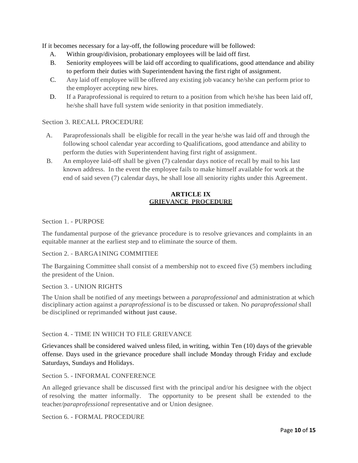If it becomes necessary for a lay-off, the following procedure will be followed:

- A. Within group/division, probationary employees will be laid off first.
- B. Seniority employees will be laid off according to qualifications, good attendance and ability to perform their duties with Superintendent having the first right of assignment.
- C. Any laid off employee will be offered any existing job vacancy he/she can perform prior to the employer accepting new hires.
- D. If a Paraprofessional is required to return to a position from which he/she has been laid off, he/she shall have full system wide seniority in that position immediately.

## Section 3. RECALL PROCEDURE

- A. Paraprofessionals shall be eligible for recall in the year he/she was laid off and through the following school calendar year according to Qualifications, good attendance and ability to perform the duties with Superintendent having first right of assignment.
- B. An employee laid-off shall be given (7) calendar days notice of recall by mail to his last known address. In the event the employee fails to make himself available for work at the end of said seven (7) calendar days, he shall lose all seniority rights under this Agreement.

#### **ARTICLE IX GRIEVANCE PROCEDURE**

Section 1. - PURPOSE

The fundamental purpose of the grievance procedure is to resolve grievances and complaints in an equitable manner at the earliest step and to eliminate the source of them.

#### Section 2. - BARGA1NING COMMITIEE

The Bargaining Committee shall consist of a membership not to exceed five (5) members including the president of the Union.

#### Section 3. - UNION RIGHTS

The Union shall be notified of any meetings between a *paraprofessional* and administration at which disciplinary action against a *paraprofessional* is to be discussed or taken. No *paraprofessional* shall be disciplined or reprimanded without just cause.

#### Section 4. - TIME IN WHICH TO FILE GRIEVANCE

Grievances shall be considered waived unless filed, in writing, within Ten (10) days of the grievable offense. Days used in the grievance procedure shall include Monday through Friday and exclude Saturdays, Sundays and Holidays.

Section 5. - INFORMAL CONFERENCE

An alleged grievance shall be discussed first with the principal and/or his designee with the object of resolving the matter informally. The opportunity to be present shall be extended to the teacher*/paraprofessional* representative and or Union designee.

Section 6. - FORMAL PROCEDURE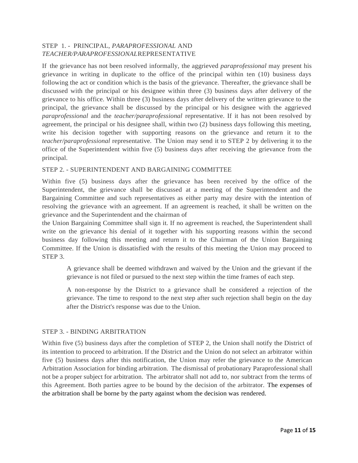# STEP 1. - PRINCIPAL, *PARAPROFESSIONAL* AND *TEACHER/PARAPROFESSIONAL*REPRESENTATIVE

If the grievance has not been resolved informally, the aggrieved *paraprofessional* may present his grievance in writing in duplicate to the office of the principal within ten (10) business days following the act or condition which is the basis of the grievance. Thereafter, the grievance shall be discussed with the principal or his designee within three (3) business days after delivery of the grievance to his office. Within three (3) business days after delivery of the written grievance to the principal, the grievance shall be discussed by the principal or his designee with the aggrieved *paraprofessional* and the *teacher/paraprofessional* representative. If it has not been resolved by agreement, the principal or his designee shall, within two (2) business days following this meeting, write his decision together with supporting reasons on the grievance and return it to the *teacher/paraprofessional* representative. The Union may send it to STEP 2 by delivering it to the office of the Superintendent within five (5) business days after receiving the grievance from the principal.

#### STEP 2. - SUPERINTENDENT AND BARGAINING COMMITTEE

Within five (5) business days after the grievance has been received by the office of the Superintendent, the grievance shall be discussed at a meeting of the Superintendent and the Bargaining Committee and such representatives as either party may desire with the intention of resolving the grievance with an agreement. If an agreement is reached, it shall be written on the grievance and the Superintendent and the chairman of

the Union Bargaining Committee shall sign it. If no agreement is reached, the Superintendent shall write on the grievance his denial of it together with his supporting reasons within the second business day following this meeting and return it to the Chairman of the Union Bargaining Committee. If the Union is dissatisfied with the results of this meeting the Union may proceed to STEP 3.

A grievance shall be deemed withdrawn and waived by the Union and the grievant if the grievance is not filed or pursued to the next step within the time frames of each step.

A non-response by the District to a grievance shall be considered a rejection of the grievance. The time to respond to the next step after such rejection shall begin on the day after the District's response was due to the Union.

#### STEP 3. - BINDING ARBITRATION

Within five (5) business days after the completion of STEP 2, the Union shall notify the District of its intention to proceed to arbitration. If the District and the Union do not select an arbitrator within five (5) business days after this notification, the Union may refer the grievance to the American Arbitration Association for binding arbitration. The dismissal of probationary Paraprofessional shall not be a proper subject for arbitration. The arbitrator shall not add to, nor subtract from the terms of this Agreement. Both parties agree to be bound by the decision of the arbitrator. The expenses of the arbitration shall be borne by the party against whom the decision was rendered.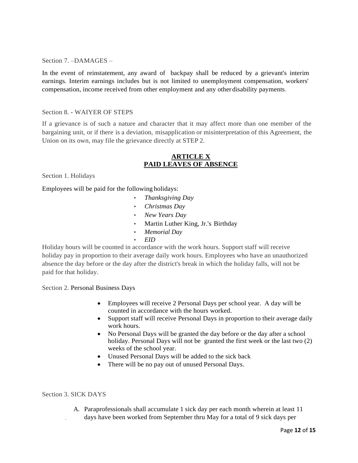Section 7. –DAMAGES –

In the event of reinstatement, any award of backpay shall be reduced by a grievant's interim earnings. Interim earnings includes but is not limited to unemployment compensation, workers' compensation, income received from other employment and any other disability payments.

#### Section 8. - WAIYER OF STEPS

If a grievance is of such a nature and character that it may affect more than one member of the bargaining unit, or if there is a deviation, misapplication or misinterpretation of this Agreement, the Union on its own, may file the grievance directly at STEP 2.

## **ARTICLE X PAID LEAVES OF ABSENCE**

Section 1. Holidays

Employees will be paid for the following holidays:

- *Thanksgiving Day*
- *Christmas Day*
- *New Years Day*
- Martin Luther King, Jr.'s Birthday
- *Memorial Day*
- *EID*

Holiday hours will be counted in accordance with the work hours. Support staff will receive holiday pay in proportion to their average daily work hours. Employees who have an unauthorized absence the day before or the day after the district's break in which the holiday falls, will not be paid for that holiday.

Section 2. Personal Business Days

- Employees will receive 2 Personal Days per school year. A day will be counted in accordance with the hours worked.
- Support staff will receive Personal Days in proportion to their average daily work hours.
- No Personal Days will be granted the day before or the day after a school holiday. Personal Days will not be granted the first week or the last two  $(2)$ weeks of the school year.
- Unused Personal Days will be added to the sick back
- There will be no pay out of unused Personal Days.

#### Section 3. SICK DAYS

A. Paraprofessionals shall accumulate 1 sick day per each month wherein at least 11 days have been worked from September thru May for a total of 9 sick days per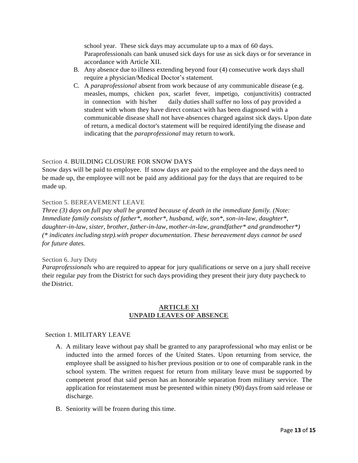school year. These sick days may accumulate up to a max of 60 days. Paraprofessionals can bank unused sick days for use as sick days or for severance in accordance with Article XII.

- B. Any absence due to illness extending beyond four (4) consecutive work days shall require a physician/Medical Doctor's statement.
- C. A *paraprofessional* absent from work because of any communicable disease (e.g. measles, mumps, chicken pox, scarlet fever, impetigo, conjunctivitis) contracted in connection with his/her daily duties shall suffer no loss of pay provided a student with whom they have direct contact with has been diagnosed with a communicable disease shall not have absences charged against sick days. Upon date of return, a medical doctor's statement will be required identifying the disease and indicating that the *paraprofessional* may return towork.

#### Section 4. BUILDING CLOSURE FOR SNOW DAYS

Snow days will be paid to employee. If snow days are paid to the employee and the days need to be made up, the employee will not be paid any additional pay for the days that are required to be made up.

#### Section 5. BEREAVEMENT LEAVE

*Three (3) days on full pay shall be granted because of death in the immediate family. (Note: Immediate family consists of father\*, mother\*, husband, wife, son\*, son-in-law, daughter\*, daughter-in-law, sister, brother, father-in-law, mother-in-law, grandfather\* and grandmother\*) (\* indicates including step).with proper documentation. These bereavement days cannot be used for future dates.*

#### Section 6. Jury Duty

*Paraprofessionals* who are required to appear for jury qualifications or serve on a jury shall receive their regular *pay* from the District for such days providing they present their jury duty paycheck to the District.

#### **ARTICLE XI UNPAID LEAVES OF ABSENCE**

#### Section 1. MILITARY LEAVE

- A. A military leave without pay shall be granted to any paraprofessional who may enlist or be inducted into the armed forces of the United States. Upon returning from service, the employee shall be assigned to his/her previous position or to one of comparable rank in the school system. The written request for return from military leave must be supported by competent proof that said person has an honorable separation from military service. The application for reinstatement must be presented within ninety (90) days from said release or discharge.
- B. Seniority will be frozen during this time.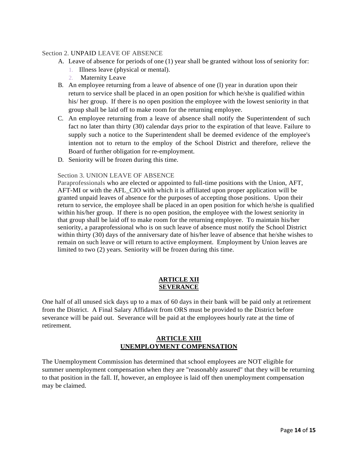#### Section 2. UNPAID LEAVE OF ABSENCE

- A. Leave of absence for periods of one (1) year shall be granted without loss of seniority for:
	- 1. Illness leave (physical or mental).
	- 2. Maternity Leave
- B. An employee returning from a leave of absence of one (l) year in duration upon their return to service shall be placed in an open position for which he/she is qualified within his/ her group. If there is no open position the employee with the lowest seniority in that group shall be laid off to make room for the returning employee.
- C. An employee returning from a leave of absence shall notify the Superintendent of such fact no later than thirty (30) calendar days prior to the expiration of that leave. Failure to supply such a notice to the Superintendent shall be deemed evidence of the employee's intention not to return to the employ of the School District and therefore, relieve the Board of further obligation for re-employment.
- D. Seniority will be frozen during this time.

#### Section 3. UNION LEAVE OF ABSENCE

Paraprofessionals who are elected or appointed to full-time positions with the Union, AFT, AFT-MI or with the AFL\_CIO with which it is affiliated upon proper application will be granted unpaid leaves of absence for the purposes of accepting those positions. Upon their return to service, the employee shall be placed in an open position for which he/she is qualified within his/her group. If there is no open position, the employee with the lowest seniority in that group shall be laid off to make room for the returning employee. To maintain his/her seniority, a paraprofessional who is on such leave of absence must notify the School District within thirty (30) days of the anniversary date of his/her leave of absence that he/she wishes to remain on such leave or will return to active employment. Employment by Union leaves are limited to two (2) years. Seniority will be frozen during this time.

#### **ARTICLE XII SEVERANCE**

One half of all unused sick days up to a max of 60 days in their bank will be paid only at retirement from the District. A Final Salary Affidavit from ORS must be provided to the District before severance will be paid out. Severance will be paid at the employees hourly rate at the time of retirement.

# **ARTICLE XIII UNEMPLOYMENT COMPENSATION**

The Unemployment Commission has determined that school employees are NOT eligible for summer unemployment compensation when they are "reasonably assured" that they will be returning to that position in the fall. If, however, an employee is laid off then unemployment compensation may be claimed.